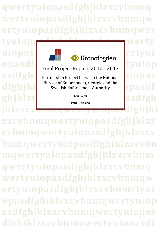**qwertyuiopasdfghjklzxcvbnmq wertyuiopasdfghjklzxcvbnmqw ertyuiopasdfghjklzxcvbnmqwer**

tyuiopasta distribution werty



**opasdf** Final Project Report 2010 - 2013 tyuiop Final Project Report, 2010 - 2013

asdfghj<br>Partnership Project between the National<br> dfghjkl Swedish Enforcement Authority **DDaSdf** Bureau of Enforcement, Georgia and the Swedish Enforcement Authority

ghjklzx**werthendelengthwere the solution of the solution** asdfgh 2013-07-05

Patrik Berglund

**jklzxcvbnmqwertyuiopasdfghjkl**

**0 asdfghjklzxcvbnmqwertyuiopas zxcvbnmqwertyuiopasdfghjklzx cvbnmqwertyuiopasdfghjklzxcv bnmqwertyuiopasdfghjklzxcvbn mqwertyuiopasdfghjklzxcvbnm qwertyuiopasdfghjklzxcvbnmq wertyuiopasdfghjklzxcvbnmqw ertyuiopasdfghjklzxcvbnmrtyui opasdfghjklzxcvbnmqwertyuiop dfghjklzxcvbnmqwertyuiopasdf**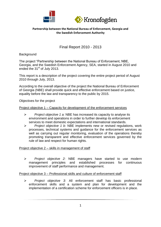



# Final Report 2010 - 2013

### **Background**

The project "Partnership between the National Bureau of Enforcement, NBE, Georgia, and the Swedish Enforcement Agency, SEA, started in August 2010 and ended the 31<sup>st</sup> of July 2013.

This report is a description of the project covering the entire project period of August 2010 through July, 2013.

According to the overall objective of the project the National Bureau of Enforcement of Georgia (NBE) shall provide quick and effective enforcement based on justice, equality before the law and transparency to the public by 2015.

Objectives for the project

### Project objective 1 – Capacity for development of the enforcement services

- *Project objective 1 a:* NBE has increased its capacity to analyse its environment and operations in order to further develop its enforcement services to meet domestic expectations and international standards.
- *Project objective 1 b:* NBE implements new or revised regulations, work processes, technical systems and guidance for the enforcement services as well as carrying out regular monitoring, evaluation of the operations thereby promoting transparent and effective enforcement services governed by the rule of law and respect for human rights.

### Project objective 2 – skills in management of staff

 *Project objective 2:* NBE managers have started to use modern management principles and established processes for continuous improvement of staff performance and management.

### Project objective 3 – Professional skills and culture of enforcement staff

 *Project objective 3:* All enforcement staff has basic professional enforcement skills and a system and plan for development and the implementation of a certification scheme for enforcement officers is in place.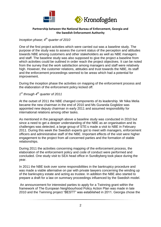



### *Inception phase; 4th quarter of 2010*

One of the first project activities which were carried out was a baseline study. The purpose of the study was to assess the current status of the perception and attitudes towards NBE among customers and other stakeholders as well as NBE managers and staff. The baseline study was also supposed to give the project a baseline from which activities could be outlined in order reach the project objectives. It can be noted from the survey that the work satisfaction among managers and staff were relatively high. However, the customer relations, attitudes and trust towards the NBE, its staff and the enforcement proceedings seemed to be areas which had a potential for improvement.

During the inception phase the activities on mapping of the enforcement process and the elaboration of the enforcement policy kicked off.

*1 st through 4th quarter of 2011*

At the outset of 2011 the NBE changed components of its leadership. Mr Nika Melia became the new chairman in the end of 2010 and Ms Guranda Goglidze was appointed new deputy chairman in early 2011 and assumed responsibility for international relations among other tasks.

As mentioned in the paragraph above a baseline study was conducted in 2010 but since a need to get a deeper understanding of the NBE as an organisation and its challenges was detected, a large group of STE:s made a visit to NBE in February 2011. During this week the Swedish experts got to meet with managers, enforcement officers and administrative staff of the NBE. Important effects of the visit were higher engagement to the project from all concerned parties and the formation of stable relationships.

During 2011 the activities concerning mapping of the enforcement process, the elaboration of the enforcement policy and code of conduct were performed and concluded. One study visit to SEA head office in Sundbyberg took place during the year.

In 2011 the NBE took over some responsibilities in the bankruptcy procedure and was made a viable alternative on par with private lawyers concerning the winding up of the bankruptcy estate and acting as trustee. In addition the NBE also started to prepare a draft for a law on summary proceedings influenced by the Swedish model.

An announcement for interested parties to apply for a Twinning grant within the framework of The European Neighbourhood Policy Action Plan was made in late 2010 and the Twinning project "BESTT" was established in 2011. Georgia chose the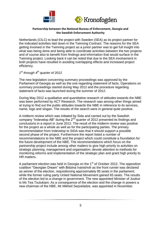



Netherlands (CILC) to lead the project with Sweden (SEA) as its project partner for the indicated activities laid down in the Twinning Contract. The reasons for the SEA getting involved in the Twinning project as a junior partner was to get full insight into what was being done and being able to coordinate activities between the two projects and of course also to benefit from findings and information that would surface in the Twinning project. Looking back it can be noted that due to the SEA involvement in both projects have resulted in avoiding overlapping effects and increased project efficiency.

## *1 st through 4th quarter of 2012*

The new legislation concerning summary proceedings was approved by the Parliament of Georgia as well as the one regarding statement of facts. Operations on summary proceedings started during May 2012 and the procedure regarding statement of facts was launched during the summer of 2012.

During May 2012 a qualitative and quantitative research of attitudes towards the NBE was been performed by ACT Research. The research was among other things aimed at trying to find out the public attitudes towards the NBE in reference to its services, name, logo and slogan. The results of the search were in general quite positive.

A midterm review which was initiated by Sida and carried out by the Swedish company "Indevelop AB" during the  $2^{nd}$  quarter of 2012 presented its findings and conclusions in a report in June 2012. The result of the midterm review was positive for the project as a whole as well as for the participating parties. The primary recommendation from Indevelop to SIDA was that it should support a possible second phase of the project. Furthermore the report listed a number of recommendations to the NBE and the project which could constitute a foundation for the future development of the NBE. The recommendations which focus on the partnership project include among other matters to give high priority to activities on strategic planning, management and organisation; devote attention to methods for monitoring reforms and implementation of the strategic plan and grant high priority to HR matters.

A parliament election was held in Georgia on the 1<sup>st</sup> of October 2012. The opposition coalition "Georgian Dream" with Bidzina Ivanishvili as the front runner was declared as winner of the election, requisitioning approximately 85 seats in the parliament, while the former ruling party United National Movement gained 65 seats. The results of the election led to a change in government. The new appointed Minister of Justice is Ms Tea Tsulukiani. As a consequence of the election and the change in powers a new chairman of the NBE, Mr Mikheil Sarjveladze, was appointed in November.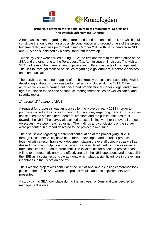



A need assessment regarding the future needs and demands of the NBE which could constitute the foundation for a possible continuation and second phase of the project became reality and was performed in mid-October 2012 with participants from NBE and SEA and supervised by a consultant from Indevelop.

Two study visits were carried during 2012; the first one went to the head office of the SEA and the other one to the Portuguese Tax Administration in Lisbon. The visit to SEA took aim at the management objective and different aspects of management. The visit to Portugal focused on issues regarding e-government, electronic services and communication.

The activities concerning mapping of the bankruptcy process and supporting NBE in developing a strategic plan was performed and concluded during 2012. Other activities which were carried out concerned organisational matters, legal and human rights in relation to the code of conduct, management issues as well as safety and security topics.

### *1 st through 2nd quarter of 2013*

A request for proposals was announced by the project in early 2013 in order to purchase consultant services for conducting a survey regarding the NBE. The survey has studied the stakeholders (debtors, creditors and the public) attitudes trust towards the NBE. The survey also aimed at establishing whether the overall project objectives have been reached or not. The findings and conclusions of the survey were presented in a report delivered to the project in mid-June.

The discussions regarding a potential continuation of the project (August 2013 through December 2015) have been further developed and a project proposal together with a result framework document stating the overall objectives as well as desired outcomes, outputs and activities has been developed with the assistance from consultants at Sida International. The focal points for a second project phase will be to promote efficiency and effectiveness in the NBE operations and to establish the NBE as a social responsible authority which plays a significant role in preventing indebtness in the Georgian society.

The Twinning project was concluded the 31<sup>st</sup> of April and a closing conference took place on the 24<sup>th</sup> of April where the project results and accomplishments were presented.

A study visit to SEA took place during the first week of June and was devoted to management issues.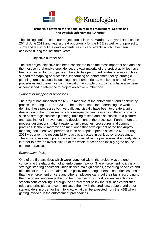



The closing conference of our project took place at Marriott Courtyard Hotel on the  $26<sup>th</sup>$  of June 2013 and was a great opportunity for the NBE as well as the project to show and talk about the developments, results and effects which have been achieved during the last three years.

### 1. Objective number one

The first project objective has been considered to be the most important one and also the most comprehensive one. Hence, the vast majority of the project activities have been connected to this objective. The activities performed relates to areas such as support for mapping of processes, elaborating an enforcement policy, strategic planning, organisational issues, legal and human rights, monitoring and follow up procedures and preventive communication. A couple of study visits have also been accomplished in reference to project objective number one.

### *Support for mapping of processes*

The project has supported the NBE in mapping of the enforcement and bankruptcy processes during 2011 and 2012. The main reasons for undertaking the work of defining these processes both verbally and visually have been to create a uniform description of the processes which consequently can be used in different contexts such as strategic business planning, training of staff and also constitute a platform and baseline for improvement and development of the processes. Furthermore the process descriptions make it easier to unify routines, procedures and common practices. It should moreover be mentioned that development of the bankruptcy mapping document was performed in an appropriate period since the NBE during 2011 was given the responsibility to act as a trustee in bankruptcy proceedings. Therefore, it was an important objective to visualize the procedures at an early stage in order to have an overall picture of the whole process and initially agree on the common practices.

### *Enforcement Policy*

One of the first activities which were launched within the project was the one concerning the elaboration of an enforcement policy. The enforcement policy is a strategic steering document which defines main guidelines, governing principles and attitudes of the NBE. The aims of the policy are among others to set priorities, ensure that the enforcement officers and other employees carry out their tasks according to the rule of law, encourage them to be proactive, to support preventive actions and smooth conflict solving. Through the enforcement policy the NBE has established rules and principles and communicated them with the creditors, debtors and other stakeholders in order for them to know what can be expected from the NBE when getting involved in the enforcement proceedings.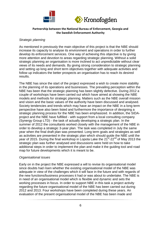



#### *Strategic planning*

As mentioned in previously the main objective of this project is that the NBE should increase its capacity to analyse its environment and operations in order to further develop its enforcement services. One way of achieving this objective is by giving more attention and devotion to areas regarding strategic planning. Without a solid strategic planning an organisation is more inclined to act unpredictable without clear views of its needs and demands. By giving strong consideration to strategic planning and setting up long and short term objectives together with adequate activities and follow up indicators the better prospects an organisation has to reach its desired results.

The NBE has since the start of the project expressed a wish to create more stability in the planning of its operations and businesses. The prevailing perception within the NBE has been that the strategic planning has been slightly defective. During 2012 a couple of workshops have been carried out which have aimed at showing the NBE models and methods for strategic planning. Matters such as the NBE overall mission and vision and the basic values of the authority have been discussed and analysed. Society tendencies and trends which may have an impact on the NBE in a long term perspective have also been listed and furthermore the importance of designing a strategic planning process for the NBE has been emphasized. In addition, the SIDAproject and the NBE have fulfilled - with support from a local consulting company (Synergy Group LTD) - the task of actually developing a strategic plan. In the summer of 2012 the consultants worked closely with the management of the NBE in order to develop a strategic 3-year plan. The task was completed in July the same year when the final draft plan was presented. Long term goals and strategies as well as activities are presented in the strategic plan which should guide the NBE until the year of 2015. During the final workshop in Lopota Lake the 21<sup>st</sup>-22<sup>nd</sup> of May 2013 the strategic plan was further analysed and discussions were held on how to take additional steps in order to implement the plan and make it the guiding tool and road map for future developments which it is meant to be.

#### *Organisational issues*

Early on in the project the NBE expressed a will to revise its organisational model since doubts had risen whether the existing organisational model of the NBE was adequate in view of the challenges which it will face in the future and with regards of the new functions/business processes it had or was about to undertake. The NBE is in need of an organisational model which is flexible and dynamic and sets the working processes in focus. In order to support NBE in this task a project activity regarding the future organisational model of the NBE has been carried out during 2012 and 2013. Four workshops have been completed during these years. An evaluation of the present organisational model of the NBE has been made and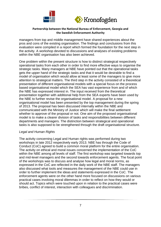



managers from top and middle management have shared experiences about the pros and cons of the existing organisation. The findings and conclusions from this evaluation were compiled in a report which formed the foundation for the next step in the activity. A workshop devoted to discussions and analyses of existing problems within the NBE organisation has also been achieved.

One problem within the present structure is how to distinct strategical respectively operational tasks from each other in order to find more effective ways to organise the strategic tasks. Many managers at NBE have pointed out that the operational tasks gets the upper hand of the strategic tasks and that it would be desirable to find a model of organisation which would allow at least some of the managers to give more attention to strategical matters. The third step in the activity consisted of a theoretical presentation of different organisational models with a special focus on the process based organisational model which the SEA has vast experience from and of which the NBE has expressed interest in. The input received from the theoretical presentation together with additional help from the SEA experts have been used by the NBE to further revise the organisational model. A proposal for a new organisational model has been presented by the top management during the spring of 2013. The proposal has been discussed internally within the NBE and communicated with the Ministry of Justice which will make the final settlement whether to approve of the proposal or not. One aim of the proposed organisational model is to make a clearer division of tasks and responsibilities between different departments and managers. The distinction between strategical and operational tasks is also supposed to be strengthened through the draft organisational structure.

### *Legal and Human Rights*

The activity concerning Legal and Human rights was performed during two workshops in late 2012 respectively early 2013. NBE has through the Code of Conduct (CoC) agreed to build a common moral platform for the entire organisation. The activity on ethical and moral issues concerned the implementation of the CoC within the NBE among all levels of staff. The first workshop was targeted towards top and mid-level managers and the second towards enforcement agents. The focal point of the workshops was to discuss and analyse how legal and moral norms, as expressed in the CoC are reflected in the daily work of the NBE staff. The managers also discussed what tools and measures the management of the NBE could use in order to further implement the ideas and statements expressed in the CoC. The enforcement agents were on the other hand more focused on discussions on various practical cases involving moral dilemmas in order to reflect on how they would or should act. Topics which were touched upon in relation to the practical cases were bribes, conflict of interest, interaction with colleagues and discrimination.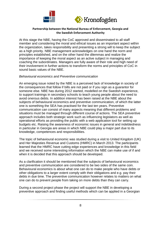



At this stage the NBE, having the CoC approved and disseminated to all staff member and considering the moral and ethical issues as an important aspect within the organization, takes responsibility and presenting a strong will to keep the subject as a high priority. NBE management acknowledges on one hand the norm and principles established, and on the other hand the dilemmas and realize the importance of keeping the moral aspect as an active subject in managing and coaching the subordinates. Managers are fully aware of their role and high need of their involvement in further actions to transform the norms and principles of CoC in sound basic values of the NBE.

### *Behavioural economics and Preventive communication*

An emerging issue noted by the NBE is a perceived lack of knowledge in society of the consequences that follow if bills are not paid or if you sign as a guarantor for someone else. NBE has during 2012 started, modelled on the Swedish experience, to support trainings in secondary schools to teach young people about the need to avoid onerous debts. In addition interest has been raised at the NBE about the subjects of behavioural economics and preventive communication, of which the latter one is something the SEA has practised for the last ten years. Preventive communication can consist of many aspects meaning that different problems and situations must be managed through different course of actions. The SEA preventive approach includes both strategic work such as influencing legislators as well as operational efforts as providing the public with a web application tool for setting up budgets etc. Raising the awareness of economic issues in general and indebtedness in particular in Georgia are areas in which NBE could play a major part due to its knowledge, competences and responsibilities.

The topic of behavioural economic was studied during a visit to United Kingdom (UK) and Her Majesties Revenue and Customs (HMRC) in March 2013. The participants learned that the HMRC have cutting edge experiences and knowledge in this field and we received some interesting information which the NBE can make use of if and when it is decided that this approach should be developed.

As a clarification it should be mentioned that the subjects of behavioural economics and preventive communication are considered to be two sides of the same coin. Behavioural economics is about what one can do to make people who have debts or other obligations to a larger extent comply with their obligations and e.g. pay their debts in due time. The preventive communication however relates to matters on what one can do to prevent people from taking on more debts than they can carry.

During a second project phase the project will support the NBE in developing a preventive approach and finding useful methods which can be applied in a Georgian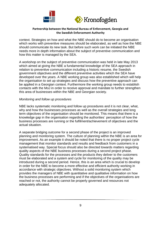



context. Strategies on how and what the NBE should do to become an organisation which works with preventive measures should be elaborated, as well as how the NBE should communicate its new task. But before such work can be initiated the NBE needs more in depth information about the subject of preventive communication and how this matter is managed by the SEA.

A workshop on the subject of preventive communication was held in late May 2013 which aimed at giving the NBE a fundamental knowledge of the SEA approach in relation to preventive communication including a historic resume, the Swedish government objectives and the different preventive activities which the SEA have developed over the years. A NBE working group was also established which will help the organisation to set up strategies and discuss how the preventive approach can be applied in a Georgian context. Furthermore the working group needs to establish contacts with the MoJ in order to receive approval and mandate to further strengthen this area of businesses within the NBE and Georgian society.

#### *Monitoring and follow up procedures*

NBE lacks systematic monitoring and follow up procedures and it is not clear, what, why and how the businesses processes as well as the overall strategies and long term objectives of the organisation should be monitored. This means that there is a knowledge gap in the organisation regarding the authorities´ perception of how the business processes are running or the fulfilment/achievement of objectives and the actual situation.

A separate bridging outcome for a second phase of the project is an improved planning and monitoring system. The culture of planning within the NBE is an area for improvement. As an example it should be noted that there is no proper project cycle management that monitor standards and results and feedback from customers in a systematised way. Special focus should also be directed towards matters regarding quality aspects of the NBE business processes during a second project phase. Quality standards for the processes and the products they deliver to the customers must be elaborated and a system and cycle for monitoring of the quality may be introduced during a second period. Hence, this is an area which is crucial to develop in order for the NBE to become a more effective and efficient authority working in accordance with strategic objectives. Without a solid monitoring system which provides the managers of NBE with quantitative and qualitative information on how the business processes are performing and if the objectives of the organisations are reached or not, the authority cannot be properly governed and resources not adequately allocated.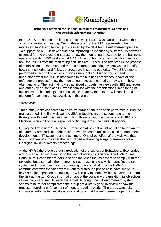



In 2012 a workshop on monitoring and follow up issues was carried out within the activity of strategic planning. During this workshop the STE: s presented the monitoring model and follow up cycle used by the SEA for the enforcement process. To support the NBE in developing and improving its monitoring systems it is however essential for the project to understand how the monitoring procedure for the business operations within NBE works, what NBE follow up, how often and by whom and also how the results from the monitoring activities are utilized. The first step in the process of establishing an improved and more structured monitoring system was to identify how the monitoring and follow up procedure is carried out today. Two SEA experts performed a fact finding activity in mid-June 2013 and tried to find out and understand what the NBE is monitoring in the business processes (above all the enforcement process), how the monitoring process is carried out, by whom, how often and why. The fact finding was achieved through interviews with NBE managers and other key persons at NBE who is familiar with the organisations´ monitoring of businesses. The findings and conclusions made by the experts will constitute a platform for coming project activities in this area.

#### *Study visits*

Three study visits connected to objective number one has been performed during the project period. The first visit went to SEA in Stockholm, the second one to the Portuguese Tax Administration in Lisbon, Portugal and the third one to HMRC and Marston Group in London respectively Birmingham in the United Kingdom.

During the first visit at SEA the NBE representatives got an introduction to the areas of summary proceedings, debt relief, preventive communication, case management, development of IT-systems and much more. One direct effect of the visit was that NBE just a few months after the visit started elaborating a legal framework for a Georgian law on summary proceedings.

At the HMRC the group got an introduction of the subject of Behavioural Economics which is an emerging area within the field of economic science. The HMRC uses Behavioural Economics to persuade and influence the tax payers to comply with the tax debts but also make them more inclined to act in a way which benefits the tax system and procedures. Just by changing how and what how the HMRC communicate with the tax payers in letters or through phone calls have shown to have a major impact on the tax payers will to pay tax debts which is overdue. During the visit at Marston Group information about the company organisation, its objectives, values, tasks and results were presented. Although the UK enforcement system seems to be rather complicated the group got a pretty good overview of how the process regarding enforcement of monetary claims works. The group was quite impressed with the technical systems and tools that the enforcement agents and the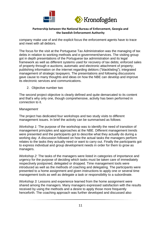



company make use of and the explicit focus the enforcement agents have to trace and meet with all debtors.

The focus for the visit at the Portuguese Tax Administration was the managing of tax debts in relation to working methods and e-government/services. The visiting group got in depth presentations of the Portuguese tax administration and its legal framework as well as different systems used for recovery of tax debts; enforced sales of property through e-auctions; automatic and electronic attachment of property; publishing information on the internet regarding debtors ("blacklisting"); integrated management of strategic taxpayers. The presentations and following discussions gave cause to many thoughts and ideas on how the NBE can develop and improve its electronic services and communications.

2. Objective number two

The second project objective is clearly defined and quite demarcated to its content and that's why only one, though comprehensive, activity has been performed in connection to it.

#### *Management*

The project has dedicated four workshops and two study visits to different management issues. In brief the activity can be summarised as follows:

*Workshop 1:* The purpose of the workshop was to identify the need of transition of management principles and approaches at the NBE. Different management trends were presented and the participants got to describe what they actually do during a working day. A discussion followed on how the actual tasks the managers perform relates to the tasks they actually need or want to carry out. Finally the participants got to express individual and group development needs in order for them to grow as managers.

*Workshop 2:* The tasks of the managers were listed in categories of importance and urgency for the purpose of deciding which tasks must be taken care of immediately respectively postponed, delegated or dropped. Time management tools were introduced as well as the methods of coaching and delegating. The participants were presented to a home assignment and given instructions to apply one or several time management tools as well as delegate a task or responsibility to a subordinate.

*Workshop 3:* Lessons and experience learned from the home assignment were shared among the managers. Many managers expressed satisfaction with the results received by using the methods and a desire to apply those more frequently henceforth. The coaching approach was further developed and discussed also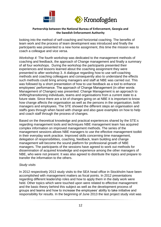



looking into the method of self-coaching and horizontal coaching. The benefits of team work and the process of team development was introduced and finally the participants was presented to a new home assignment, this time the mission was to coach a colleague and vice versa.

*Workshop 4:* The fourth workshop was dedicated to the management methods of coaching and feedback, the approach of Change management and finally a summary of all four workshops. During the workshop the participants presented their experiences and lessons learned about the coaching assignment they were presented to after workshop 3. A dialogue regarding how to use self-coaching methods and coaching colleagues and consequently also to understand the effects such methods could bring among managers and staff at NBE was carried out. This was followed by a short presentation of how to use feedback as a tool to enhance employees' performance. The approach of Change Management (in other words Management of Changes) was presented. Change Management is an approach to shifting/transitioning individuals, teams and organisations from a current state to a future state. Since there are a lot of changes going on at NBE it is important to know how change affects the organisation as well as the persons in the organisation, both managers and employees. The STE showed the different steps an organisation and staffs goes through when faced with change and also gave examples on how to help and coach staff through the process of changes.

Based on the theoretical knowledge and practical experiences shared by the STE:s regarding management tools and techniques NBE management team has acquired complex information on improved management methods. The series of the management sessions allows NBE managers to use the effective management toolkit in their everyday work practice. Improved skills concerning time management, delegation of responsibilities, coaching, feedback, team building and change management will become the sound platform for professional growth of NBE managers. The participants of the sessions have agreed to work out methods for dissemination of acquired knowledge and experience among the other managers of NBE, who were not present. It was also agreed to distribute the topics and prepare to transfer the information to the others.

### *Study visits*

In 2012 respectively 2013 study visits to the SEA head office in Stockholm have been accomplished with management matters as focal points. In 2012 presentations regarding different leadership roles and how to apply them in the daily work were held. Other topics which were touched upon were related to effective management and the basic theory behind this subject as well as the development process of groups and teams and how to increase the employees' ability to take initiative and responsibility for results. In the beginning of June 2013 the last project study visit was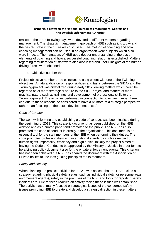



realised. The three following days were devoted to different matters regarding management. The strategic management approach of NBE such as it is today and the desired state in the future was discussed. The method of coaching and how coaching management can be used in an organization were subjects which also were in focus. The managers of NBE got a deeper understanding of the basic elements of coaching and how a successful coaching relation is established. Matters regarding remuneration of staff were also discussed and useful insights of the human driving forces were obtained.

3. Objective number three

Project objective number three coincides to a big extent with one of the Twinning objectives. A natural division of responsibilities and tasks between the SIDA- and the Twinning-project was crystallized during early 2012 leaving matters which could be regarded as of more strategical nature to the SIDA-project and matters of more practical nature such as trainings and development of professional skills to the Twinning-project. The activities performed in connection to objective number three can due to these reasons be considered to have a bit more of a strategic perspective rather than focusing on the actual development of staff.

### *Code of Conduct*

The work with forming and establishing a code of conduct was been finalised during the beginning of 2012. This strategic document has been published on the NBE website and as a printed paper and promoted to the public. The NBE has also promoted the code of conduct internally in the organisation. This document is an essential tool for the staff members of the NBE when performing their duties. The code promotes professionalism and international standards such as respect of human rights, impartiality, efficiency and high ethics. Initially the project aimed at having the Code of Conduct to be approved by the Ministry of Justice in order for it to be a binding policy document also for the private enforcement agents. This criterion has not been achieved but NBE has shared the document with the Association of Private bailiffs to use it as guiding principles for its members.

### *Safety and security*

When planning the project activities for 2012 it was noticed that the NBE lacked a strategy regarding physical safety issues, such as individual safety for personnel (e.g. enforcement agents), safety in the premises of the NBE and tools for reporting safety incidents etc. Due to these realities an activity facing these issues was established. The activity has primarily focused on strategical issues of the concerned safety issues promoting NBE to create and develop a strategic direction in these matters.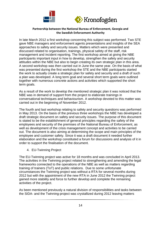



In late March 2012 a first workshop concerning this subject was performed. Two STE gave NBE managers and enforcement agents presentations and insights of the SEA approaches to safety and security issues. Matters which were presented and discussed related to organisation, trainings, physical safety of the staff, risk management and incident reporting. The first workshop aimed at giving the NBE participants important input in how to develop, strengthen the safety and security attitudes within the NBE but also to begin creating its own strategic plan in this area. A second workshop was then carried out in June the same year. On the basis of what was presented during the first workshop the STE and the NBE participants started the work to actually create a strategic plan for safety and security and a draft of such a plan was developed. A long term goal and several short term goals were outlined together with numerous concrete actions and activities which supported the short term goals.

As a result of the work to develop the mentioned strategic plan it was noticed that the NBE was in demand of support from the project to elaborate trainings in conversational techniques and behaviourism. A workshop devoted to this matter was carried out in the beginning of November 2012.

The fourth and last workshop relating to safety and security questions was performed in May 2013. On the basis of the previous three workshops the NBE has developed a draft strategic document on safety and security issues. The purpose of this document is stated to be the establishment of general principles regarding the safety of the employees and security of the premises of the National Bureau of Enforcement, as well as development of the crisis management concept and activities to be carried out. The document is also aiming at determining the scope and main principles of the employee and customer safety. Since it was a draft document it needed further elaboration and the workshop constituted a forum for discussions and analysis of it in order to support the finalisation of the document.

4. EU-Twinning Project

The EU-Twinning project was active for 18 months and was concluded in April 2013. The activities in the Twinning project related to strengthening and amending the legal frameworks connected to the operations of the NBE as well as matters regarding training of trainers (ToT) and public relations. Due to some unfortunate circumstances the Twinning project was without a RTA for several months during 2012 but with the appointment of the new RTA in June 2012 the Twinning project gained more stability and force to further develop and complete the remaining activities of the project.

As been mentioned previously a natural division of responsibilities and tasks between the SIDA- and the Twinning-project was crystallized during 2012 leaving matters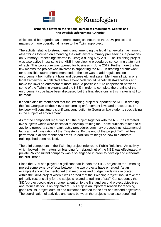



which could be regarded as of more strategical nature to the SIDA-project and matters of more operational nature to the Twinning-project.

The activity relating to strengthening and amending the legal frameworks has, among other things focused on amending the draft law of summary proceedings. Operations on Summary Proceedings started in Georgia during May 2012. The Twinning project was also active in assisting the NBE in developing procedures concerning statement of facts. This procedure was opened for business in June 2012. Furthermore the last few months the project was involved in supporting the NBE in drafting a framework for a possible future enforcement code. The aim was to add regulations on enforcement from different laws and decrees etc and assemble them all within one legal framework. A collected enforcement code would benefit all stakeholders and make the laws on enforcement more lucid. A possible future cooperation between some of the Twinning experts and the NBE in order to complete the drafting of the enforcement code have been discussed but the final decisions in this matter is still to be made.

It should also be mentioned that the Twinning-project supported the NBE in drafting the first Georgian textbook ever concerning enforcement laws and procedures. The textbook will constitute a significant contribution to Georgian law students specialising in the subject of enforcement.

As for the component regarding ToT the project together with the NBE has targeted five subjects which were essential to develop training for. These subjects related to eauctions (property sales), bankruptcy procedure, summary proceedings, statement of facts and administration of the IT-systems. By the end of the project ToT had been performed in all the mentioned areas. In addition trainings on how to elaborate trainings had been realized.

The third component in the Twinning project referred to Public Relations. An activity which looked in to matters on branding (or rebranding) of the NBE was effectuated. A private PR consultant company was also engaged in order to develop and elaborate the NBE brand.

Since the SEA has played a significant part in both the SIDA-project as the Twinningproject some synergy effects between the two projects have emerged. As an example it should be mentioned that resources and budget funds was relocated within the SIDA-project when it was agreed that the Twinning-project should take the primarily responsibility for the subjects related to training of staff. Consequently the SIDA-project could give stronger attention to the first and second project objectives and reduce its focus on objective 3. This step is an important reason for reaching good results, project outputs and outcomes related to the first and second objectives. The coordination of activities and tasks between the projects have also benefitted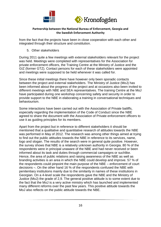



from the fact that the projects have been in close cooperation with each other and integrated through their structure and constitution.

5. Other stakeholders

During 2011 quite a few meetings with external stakeholders relevant for the project was held. Meetings were completed with representatives for the Association for private enforcement officers, the Training Centre at the Ministry of Justice and the GIZ (former GTZ). Contact persons for each of these stakeholders were appointed and meetings were supposed to be held whenever it was called for.

Since these initial meetings there have however only been sporadic contacts between the project and external stakeholders. The Ministry of Justice (MoJ) has been informed about the progress of the project and at occasions also been invited to different meetings with NBE and SEA representatives. The training Centre at the MoJ have participated during one workshop concerning safety and security in order to provide support to the NBE in elaborating a training in conversational techniques and behaviourism.

Some interactions have been carried out with the Association of Private bailiffs, especially regarding the implementation of the Code of Conduct since the NBE agreed to share the document with the Association of Private enforcement officers to use it as guiding principles for its members.

Apart from the project but in reference to different stakeholders it should be mentioned that a qualitative and quantitative research of attitudes towards the NBE was performed in May of 2012. The research was among other things aimed at trying to find out the public attitudes towards the NBE in reference to its services, name, logo and slogan. The results of the search were in general quite positive. However, the survey shows that NBE is a relatively unknown authority in Georgia. 80 % of the respondents were in principal unaware of the NBE and had never received or been informed about its task and duties through commercial campaigns or suchlike. Hence, the area of public relations and raising awareness of the NBE as well as branding activities is an area in which the NBE could develop and improve. 57 % of the respondents could pinpoint the main purpose of the NBE – enforcement of court decisions –. On the other hand 16 % of the respondents confused the NBE with penitentiary institutions mainly due to the similarity in names of these institutions in Georgian. On a 4-level scale the respondents gave the NBE and the Ministry of Justice (MoJ) the grade of 2,9. The general positive attitude is to some extent due to the fact that the MoJ is a very active ministry which has launched and implemented many different reforms over the past few years. This positive attitude towards the MoJ also reflects on the public attitude towards the NBE.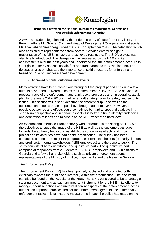



A Swedish trade delegation led by the undersecretary of state from the Ministry of Foreign Affairs Mr. Gunnar Oom and Head of Development Co-operation in Georgia Ms. Eva Gibson Smedberg visited the NBE in September 2012. The delegation which also consisted of representatives from several Swedish enterprises got a presentation of the NBE, its tasks and achieved results etc. The SIDA-project was also briefly introduced. The delegation was impressed by the NBE and its achievements over the past years and understood that the enforcement procedure in Georgia is in many aspects as fair, fast and transparent as the Swedish one. The delegation also emphasized the importance of solid structures for enforcement, based on Rule of Law, for market development.

6. Achieved outputs, outcomes and effects

Many activities have been carried out throughout the project period and quite a few outputs have been delivered such as the Enforcement Policy, the Code of Conduct, process maps of the enforcement and bankruptcy processes and an overall strategic plan for the years 2012-2015 as well as a draft strategic plan for safety and security issues. This section will in short describe the different outputs as well as the outcomes and effects these outputs have brought about for NBE. However, the possible outcomes and effects could sometimes be hard to spot and evaluate in a short term perspective and in certain aspects it is better to try to identify tendencies and adaptation of ideas and mindsets at the NBE rather than hard facts.

An external and internal customer survey was performed in the spring of 2013 with the objectives to study the image of the NBE as well as the customers attitudes towards the authority but also to establish the conceivable effects and impact the project and its activities have had on the organisation. The survey has been conducted among three major target groups; external stakeholders (primarily debtors and creditors); internal stakeholders (NBE employees) and the general public. The study consists of both quantitative and qualitative parts. The quantitative part comprise of responses from 210 debtors, 150 NBE employees and 1050 citizens of Georgia and a few other stakeholders such as private enforcement agents, representatives of the Ministry of Justice, major banks and the Revenue Service.

### *The Enforcement Policy*

The Enforcement Policy (EP) has been printed, published and promoted both externally towards the public and internally within the organisation. The document can also be found on the website of the NBE. The EP is considered to be a strategic steering document and as such an important instrument for the NBE in its efforts to manage, prioritise actions and uniform different aspects of the enforcement process but also an important practical tool for the enforcement agents to use in their daily enforcement tasks. It is still hard to measure the impact the policy has made on the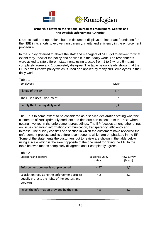



NBE, its staff and operations but the document displays an important foundation for the NBE in its efforts to evolve transparency, clarity and efficiency in the enforcement procedure.

In the survey referred to above the staff and managers of NBE got to answer to what extent they knew of the policy and applied it in their daily work. The respondents were asked to rate different statements using a scale from 1 to 5 where 5 meant completely agree and 1 completely disagree. The table below clearly shows that the EP is a well-known policy which is used and applied by many NBE employees in their daily work.

| Table 1                         |      |
|---------------------------------|------|
| Employees                       | Mean |
| I know of the EP                | 3,7  |
| The EP is a useful document     | 3,7  |
| I apply the EP in my daily work | 3,3  |

The EP is to some extent to be considered as a service declaration stating what the customers of NBE (primarily creditors and debtors) can expect from the NBE when getting involved in the enforcement proceedings. The EP focuses among other things on issues regarding information/communication, transparency, efficiency and fairness. The survey consists of a section in which the customers have reviewed the enforcement process and its different components which are emphasized in the EP. Some of the statements the customers got to review are shown in the table below using a scale which is the exact opposite of the one used for rating the EP. In the table below 5 means completely disagrees and 1 completely agrees.

| Table 2<br>Creditors and debtors                                                                              | Baseline survey<br>(Mean) | New survey<br>(Mean) |
|---------------------------------------------------------------------------------------------------------------|---------------------------|----------------------|
| Enforcement process is not prolonged                                                                          | 4,47                      | 1,7                  |
| Legislation regulating the enforcement process<br>equally protects the rights of the debtors and<br>creditors | 4,2                       | 2,1                  |
| I trust the information provided by the NBE                                                                   | 4,5                       | 2,2                  |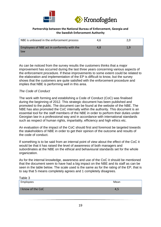

| NBE is unbiased in the enforcement process         | 4.6 | 2.0 |
|----------------------------------------------------|-----|-----|
| Employees of NBE act in conformity with the<br>law | 4.8 | 1.9 |

As can be noticed from the survey results the customers thinks that a major improvement has occurred during the last three years concerning various aspects of the enforcement procedure. If these improvements to some extent could be related to the elaboration and implementation of the EP is difficult to know, but the survey shows that the customers are quite satisfied with the enforcement procedure and implies that NBE is performing well in this area.

### *The Code of Conduct*

The work with forming and establishing a Code of Conduct (CoC) was finalised during the beginning of 2012. This strategic document has been published and promoted to the public. The document can be found at the website of the NBE. The NBE has also promoted the CoC internally within the authority. This document is an essential tool for the staff members of the NBE in order to perform their duties under Georgian law in a professional way and in accordance with international standards such as respect of human rights, impartiality, efficiency and high ethics etc.

An evaluation of the impact of the CoC should first and foremost be targeted towards the stakeholders of NBE in order to get their opinion of the outcome and results of the code of conduct.

If something is to be said from an internal point of view about the effect of the CoC it would be that it has raised the level of awareness of both managers and subordinates at the NBE on the ethical and behavioural standards set for the whole organization.

As for the internal knowledge, awareness and use of the CoC it should be mentioned that the document seem to have had a big impact on the NBE and its staff as can be seen in the table below. The scale used is the same as for the rating of the EP, that is to say that 5 means completely agrees and 1 completely disagrees.

| Table 3           |      |
|-------------------|------|
| Employees         | Mean |
| I know of the CoC |      |
|                   |      |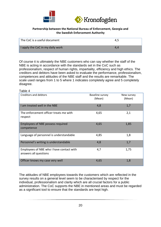



| The CoC is a useful document     | 4.5 |
|----------------------------------|-----|
| I apply the CoC in my daily work | 4.4 |

Of course it is ultimately the NBE customers who can say whether the staff of the NBE is acting in accordance with the standards set in the CoC such as professionalism, respect of human rights, impartiality, efficiency and high ethics. The creditors and debtors have been asked to evaluate the performance, professionalism, competences and attitudes of the NBE staff and the results are remarkable. The scale used ranges from 1 to 5 where 1 indicates completely agree and 5 completely disagree.

Table 4

| Creditors and debtors                                             | Baseline survey<br>(Mean) | New survey<br>(Mean) |
|-------------------------------------------------------------------|---------------------------|----------------------|
| I am treated well in the NBE                                      | 4,8                       | 1,7                  |
| The enforcement officer treats me with<br>respect                 | 4,65                      | 2,1                  |
| <b>Employees of NBE possess required</b><br>competence            | 4,65                      | 1,85                 |
| Language of personnel is understandable                           | 4,85                      | 1,8                  |
| Personnel's writing is understandable                             | 4,8                       | 1,7                  |
| Employees of NBE who I have contact with<br>answers all questions | 4,7                       | 1,75                 |
| Officer knows my case very well                                   | 4,65                      | 1,8                  |

The attitudes of NBE employees towards the customers which are reflected in the survey results on a general level seem to be characterised by respect for the individual, professionalism and clarity which are all crucial factors for a public administration. The CoC supports the NBE in mentioned areas and must be regarded as a significant tool to ensure that the standards are kept high.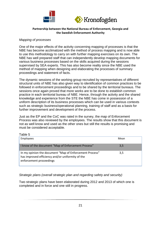



### *Mapping of processes*

One of the major effects of the activity concerning mapping of processes is that the NBE has become acclimatized with the method of process mapping and is now able to use this methodology to carry on with further mapping exercises on its own. The NBE has well prepared staff that can independently develop mapping documents for various business processes based on the skills acquired during the sessions supervised by SEA experts. This has also become reality since the NBE used the method of mapping when designing and elaborating the processes of summary proceedings and statement of facts.

The dynamic sessions of the working group recruited by representatives of different structural units of NBE has also given way to identification of common practices to be followed in enforcement proceedings and to be shared by the territorial bureaus. The sessions once again proved that more works are to be done to establish common practice in each territorial bureau of NBE. Hence, through the activity and the shared knowledge and experience from the STE the NBE has come in possession of a uniform description of its business processes which can be used in various contexts such as strategic business/operational planning, training of staff and as a basis for further improvement and development of the process.

Just as the EP and the CoC was rated in the survey, the map of Enforcement Process was also reviewed by the employees. The results show that this document is not as well know and used as the other ones but still the results is promising and must be considered acceptable.

Table 5

| Employees                                                                                                                              | Mean |
|----------------------------------------------------------------------------------------------------------------------------------------|------|
| I know of the document "Map of Enforcement Process"                                                                                    | 3,5  |
| In my opinion the document "Map of Enforcement Process"<br>has improved efficiency and/or uniformity of the<br>enforcement proceedings | 3,5  |

*Strategic plans (overall strategic plan and regarding safety and security)*

Two strategic plans have been elaborated during 2012 and 2013 of which one is completed and in force and one still in progress.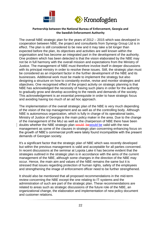



The overall NBE strategic plan for the years of 2012 – 2015 which was developed in cooperation between NBE, the project and consultants from Synergy Group Ltd is in effect. The plan is still considered to be new and it may take a bit longer than expected before the plan, its objectives and activities are well known within the organisation and has become an integrated part in the development of the authority. One problem which has been detected is that the vision elaborated by the NBE may not be in full harmony with the overall mission and expectations from the Ministry of Justice. The management of NBE must therefore involve itself in deeper discussions with its principal ministry in order to resolve these issues. Still, the strategic plan must be considered as an important factor in the further development of the NBE and its businesses. Additional work must be made to implement the strategy but also designing a structure on how to constantly evolve, revise and monitor strategies and objectives. One recognised effect of the project activity on strategic planning is that NBE has acknowledged the necessity of having such plans in order for the authority to gradually grow and develop according to the needs and demands of the society. This acknowledgement is an essential prerequisite in order to have strategic focus and avoiding having too much of an ad hoc approach.

The implementation of the overall strategic plan of the NBE is very much depending of the vision of the top management and as well as of the controlling body. Although NBE is autonomous organization, which is fully in charge of its operational tasks, Ministry of Justice of Georgia is the main policy maker in the area. Due to the change of the management of the MoJ as well as the chairperson of NBE there have been doubts whether the NBE strategic plan would bewould be valid with the new management as some of the clauses in strategic plan concerning enhancing focus on the growth of NBE's commercial profit were lately found incompatible with the present demands of Georgian society.

It's a significant factor that the strategic plan of NBE which was recently developed but within the previous management is valid and acceptable for all parties concerned. In recent discussions at the seminar at Lopota Lake it has become evident that the strategies outlined in the strategic plan is in accordance with the aims of the current management of the NBE, although some changes in the direction of the NBE may occur. Hence, the main aim and values of the NBE remains the same but it is stressed that issues regarding protection of human rights, safety of the employees and strengthening the image of enforcement officer need to be further strengthened.

It should also be mentioned that all proposed recommendations in the mid-term review concerning the NBE except the one relating to IT-systems and the administration of such are part of the strategic plan. These recommendations are related to areas such as strategic discussions of the future role of the NBE, an organizational change, the elaboration and implementation of new policy document and customer relations.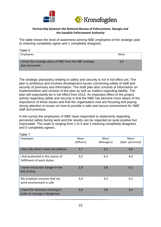



The table shows the level of awareness among NBE employees of the strategic plan (5 meaning completely agree and 1 completely disagree).

| Table 6                                                                   |      |
|---------------------------------------------------------------------------|------|
| Employees                                                                 | Mean |
| I know the strategic plans of NBE from the NBE strategic<br>plan document | 3,4  |

The strategic plan/policy relating to safety and security is not in full effect yet. The plan is ambitious and involves development issues concerning safety of staff and security of premises and information. The draft plan also consists of information on implementation and revision of the plan as well as matters regarding liability. The plan will expectantly be in full effect from 2013. An important effect of the project activity regarding safety and security is that the NBE has become more aware of the importance of these issues and that the organisation now are focusing and paying strong attention to issues on how to provide a safe and secure environment for NBE staff and premises.

In the survey the employees of NBE have responded to statements regarding perceived safety during work and the results can be regarded as quite positive but improvable. The scale is ranging from 1 to 5 and 1 meaning completely disagrees and 5 completely agrees.

| Employees                                                       | Mean<br>(Officers) | Mean<br>(Managers) | Mean<br>(Adm. personnel) |
|-----------------------------------------------------------------|--------------------|--------------------|--------------------------|
| I feel safe when I meet the debtors                             | 3,7                | 4,3                | 4,0                      |
| I feel protected in the course of<br>fulfillment of work duties | 3,5                | 4,3                | 4,4                      |
| I never encounter danger in the<br>line of duty                 | 2,9                | 3,8                | 4,1                      |
| My employer ensures that my<br>work environment is safe         | 3,4                | 3,3                | 4,1                      |
| I have the necessary training in<br>order to manage a dangerous | 3,0                | 2,8                | 2,4                      |

#### Table 7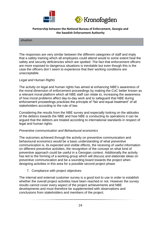



#### situation

The responses are very similar between the different categories of staff and imply that a safety training which all employees could attend would to some extent heal the safety and security deficiencies which are spotted. The fact that enforcement officers are more exposed to dangerous situations is inevitable but even though this is the case the officers don´t seem to experience that their working conditions are unacceptable.

#### *Legal and Human Rights*

The activity on legal and human rights has aimed at enhancing NBE's awareness of the moral dimension of enforcement proceedings by making the CoC better known as a relevant moral platform which all NBE staff can relate to, increasing the awareness of how moral problems affect day-to-day work and to safeguard that NBE during enforcement proceedings practices the principle of "fair and equal treatment" of all stakeholders according to the rule of law.

Considering the results from the NBE survey and especially looking on the attitudes of the debtors towards the NBE and how NBE is conducting its operations it can be argued that the debtors are treated according to international standards in respect of legal and human rights.

### *Preventive communication and Behavioural economics*

The outcomes achieved through the activity on preventive communication and behavioural economics would be a basic understanding of what preventive communication is, its expected and visible effects, the receiving of useful information on different preventive activities, the recognition of the concept on what kind of preventive approach could be useful in a Georgian context. Additionally the activity has led to the forming of a working group which will discuss and elaborate ideas on preventive communication and be a sounding board towards the project when designing activities in this area for a possible second project phase

7. Compliance with project objectives

The internal and external customer survey is a good tool to use in order to establish whether the overall project activities have been reached or not. However the survey results cannot cover every aspect of the project achievements and NBE developments and must therefore be supplemented with observations and conclusions from stakeholders and members of the project.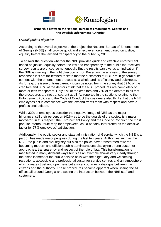



#### *Overall project objective*

According to the overall objective of the project the National Bureau of Enforcement of Georgia (NBE) shall provide quick and effective enforcement based on justice, equality before the law and transparency to the public by 2015.

To answer the question whether the NBE provides quick and effective enforcement based on justice, equality before the law and transparency to the public the received survey results are of course not enough. But the results can give us an indication if the NBE is moving in the right direction or not. Based on the analysis of the survey responses it is not far-fetched to state that the customers of NBE are in general quite content with the enforcement process as a whole and its efficiency and quickness. As for e.g. the issue of transparency it can be noted from the survey that 89 % of the creditors and 88 % of the debtors think that the NBE procedures are completely or more or less transparent. Only 5 % of the creditors and 7 % of the debtors think that the procedures are not transparent at all. As reported in the sections relating to the Enforcement Policy and the Code of Conduct the customers also thinks that the NBE employees act in compliance with the law and treats them with respect and have a professional attitude.

While 32% of employees consider the negative image of NBE as the major hindrance, still their perception (42%) as to be the guards of the society is a major motivator. In this respect, the Enforcement Policy and the Code of Conduct, the most popular internal route-map for employees, could be fairly interpreted as the decisive factor for 77% employees' satisfaction.

Additionally, the public sector and state administration of Georgia, which the NBE is a part of, has made major progress during the last ten years. Authorities such as the NBE, the public and civil registry but also the police have transformed towards becoming modern and efficient public administrations displaying strong customer approaches, transparency and respect of the rule of law. This transformation is manifested in many different ways but is as an example shown very clearly through the establishment of the public service halls with their light, airy and welcoming receptions, accessible and professional customer service centres and an atmosphere which creates trust and openness but also encourages a dialogue between the citizens and the authority. These procedures become apparent when visiting the NBE offices all around Georgia and seeing the interaction between the NBE staff and customers.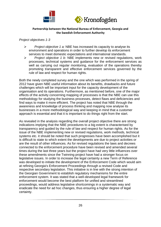



#### *Project objectives 1-3*

- *Project objective 1 a:* NBE has increased its capacity to analyse its environment and operations in order to further develop its enforcement services to meet domestic expectations and international standards.
- *Project objective 1 b:* NBE implements new or revised regulations, work processes, technical systems and guidance for the enforcement services as well as carrying out regular monitoring, evaluation of the operations thereby promoting transparent and effective enforcement services governed by the rule of law and respect for human rights.

Both the newly completed survey and the one which was performed in the spring of 2012 have given NBE useful information about its benefits, drawbacks and future challenges which will be important input for the capacity development of the organisation and its operations. Furthermore, as mentioned before, one of the major effects of the activity concerning mapping of processes is that the NBE can use this methodology for studying the business processes, detect flaws and deficiencies and find ways to make it more efficient. The project has noted that NBE through the awareness and knowledge of process thinking and mapping now analyse its businesses in a more methodological way and keeping in mind that a customer approach is essential and that it is important to do things right from the start.

As revealed in the analysis regarding the overall project objective there are strong indications implying that the NBE procedures to a big extent is characterised by transparency and guided by the rule of law and respect for human rights. As for the issue of the NBE implementing new or revised regulations, work methods, technical systems etc. it should be noted that such progresses have been accomplished but it is difficult to state to which extent the developments are due to project activities or are the result of other influences. As for revised regulations the laws and decrees connected to the enforcement procedure have been revised and amended several times during the last three years but the project have had very little influences over these amendments since the Twinning project have had a stronger focus on legislative issues. In order to increase the legal certainty a new Term of Reference was developed to initiate the development of the Enforcement Code which would aim at refining Georgia's Enforcement Proceedings through a revised Code and respective secondary legislation. This initiative is in line with the strong intention of the Georgian Government to establish regulatory mechanisms for the entire enforcement system. It was stated that a well-developed legal framework for enforcement would become the best platform for unified and streamlined proceedings, would address legislative shortcomings in a systematic way and eradicate the need for ad hoc changes, thus ensuring a higher degree of legal certainty.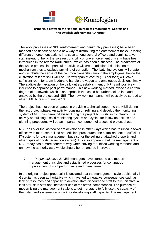



The work processes of NBE (enforcement and bankruptcy processes) have been mapped and described and a new way of distributing the enforcement tasks - dividing different enforcement actions in a case among several officers and administrative staff instead of being the sole responsibility of one enforcement officer – have been introduced in the Kvemo Kartli bureau which has been a success. The breakdown of the whole process into particular activities will create additional double control mechanism thus to exclude any kind of corruption. The 'batching system' will create and distribute the sense of the common ownership among the employees; hence the cultivation of team spirit will rise. Narrow span of control (7-8 persons) will leave sufficient room for team leaders to handle the vague and ambiguous decisions timely. The audible demarcation of the daily duties, establishment of KPI:s will positively influence to appraise past performance. This new working method involves a certain degree of teamwork, which is an approach that could be further looked into and analysed by the project and NBE. The new working manner will possibly be spread to other NBE bureaus during 2013.

The project has not been engaged in providing technical support to the NBE during the first project phase. An activity focusing on refining and develop the monitoring system of NBE has been initialised during the project but is still in its infancy. The activity on building a solid monitoring system and cycles for follow up actions and planning procedures will be an important component of a second project phase.

NBE has over the last few years developed in other ways which has resulted in fewer offices with more centralised and efficient procedures, the establishment of sufficient IT-systems for case management but also for the selling of attached property and other types of goods (e-auction system). It is also apparent that the management of NBE today has a more coherent way when striving for unified working methods and on how the authority as a whole should be run and be improved.

 *Project objective 2:* NBE managers have started to use modern management principles and established processes for continuous improvement of staff performance and management.

In the original project proposal it is declared that the management style traditionally in Georgia has been authoritative which have led to negative consequences such as lack of resources and capacity to develop staff, discouraged staff to take initiative, a lack of trust in staff and inefficient use of the staffs' competences. The purpose of modernising the management style is to get managers to fully use the capacity of their staff and systematically work for developing staff capacity. The management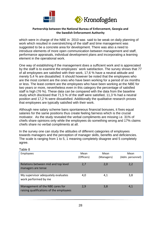



which were in charge of the NBE in 2010 was said to be weak on daily planning of work which resulted in overstretching of the staff and time management was suggested to be a concrete area for development. There was also a need to introduce elements of more open communication between management and staff, performance appraisals, individual development plans and incorporating a learning element in the operational work.

One way of establishing if the management does a sufficient work and is appreciated by the staff is to examine the employees´ work satisfaction. The survey shows that 77 of all employees are satisfied with their work, 17,6 % have a neutral attitude and merely 5,4 % are dissatisfied. It should however be noted that the employees who are the most content are the ones who have been working for a period of six months or less. The least content are the employees who have been working at the NBE for two years or more, nevertheless even in this category the percentage of satisfied staff is high (76 %). These data can be compared with the data from the baseline study which disclosed that 71,5 % of the staff were satisfied, 11,3 % had a neutral position and 17,2 % were dissatisfied. Additionally the qualitative research proves that employees are typically satisfied with their work.

Although new salary scheme bans spontaneous financial bonuses, it fixes equal salaries for the same positions thus create feeling fairness which is the crucial motivator. As the study revealed the verbal compliments are missing i.e. 31% of chiefs share opinions only while the employees do something wrong and 17% claims chiefs share no verbal compliments at all.

In the survey one can study the attitudes of different categories of employees towards managers and the perception of manager skills, benefits and deficiencies. The scale is ranging from 1 to 5, 1 meaning completely disagree and 5 completely agree.

| Table 8                                                                    |                    |                    |                          |
|----------------------------------------------------------------------------|--------------------|--------------------|--------------------------|
| Employees                                                                  | Mean<br>(Officers) | Mean<br>(Managers) | Mean<br>(Adm. personnel) |
| Relations between mid and top level<br>managers are tense                  | 2,7                | 2,0                | 2,2                      |
| My supervisor adequately evaluates<br>work performed by me                 | 4,0                | 4,1                | 3,8                      |
| Management of the NBE cares for<br>raising qualifications of the employees | 2,9                | 3,8                | 4,1                      |

28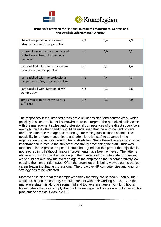



| I have the opportunity of career<br>advancement in this organization                      | 2,9 | 3,4 | 2,9 |
|-------------------------------------------------------------------------------------------|-----|-----|-----|
| In case of necessity my supervisor will<br>protect me in front of upper level<br>managers | 4,1 | 4,0 | 4,2 |
| I am satisfied with the management<br>style of my direct supervisor                       | 4,1 | 4,2 | 3,9 |
| I am satisfied with the professional<br>competence of my direct supervisor                | 4,2 | 4,4 | 4,3 |
| I am satisfied with duration of my<br>working day                                         | 4,2 | 4,1 | 3,8 |
| Time given to perform my work is<br>sufficient                                            | 3,7 | 4,1 | 4,0 |

The responses in the intended areas are a bit inconsistent and contradictory, which possibly is all natural but still somewhat hard to interpret. The perceived satisfaction with the management styles and professional competences of the direct supervisors are high. On the other hand it should be underlined that the enforcement officers don´t think that the managers care enough for raising qualifications of staff. The possibility for enforcement officers and administrative staff to advance in the organisation is also considered to be relatively low. Since these two areas are rather important and relates to the subject of constantly developing the staff which was mentioned in the project proposal it could be argued that this part of the objective is not reached in full although major improvements have been achieved. The latter is above all shown by the dramatic drop in the numbers of discontent staff. However, we should not overlook the average age of the employees that is comparatively low, causing the high attrition rates. Often the organization is being viewed as the earliest career leader incubating professional. The proactive HR competencies and long run strategy has to be validated.

Moreover it is clear that most employees think that they are not too burden by their workload, but on the contrary are quite content with their working hours. Even the managers state this although some mid and top level managers work long hours. Nevertheless the results imply that the time management issues are no longer such a problematic area as it was in 2010.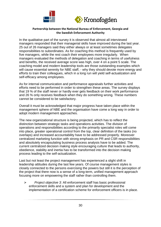



In the qualitative part of the survey it is observed that almost all interviewed managers responded that their managerial skills have improved during the last year. 25 out of 26 managers said they either always or at least sometimes delegates responsibilities to subordinates. As for coaching this method is frequently used by five managers, while the rest coach their employees more irregularly. When managers evaluated the methods of delegation and coaching in terms of usefulness and benefits, the received average score was high, over 4 on a point 5 scale. The coaching model and modern leadership tools are those outstanding examples which will cause essential serenity for NBE staff, - why they should devote more energy and efforts to train their colleagues, which in a long run will yield self-actualization and self-efficacy among employees.

As for internal communication and performance appraisals further activities and efforts need to be performed in order to strengthen these areas. The survey displays that 19 % of the staff never or hardly ever gets feedback on their work performance and 26 % only receives feedback when they do something wrong. These numbers cannot be considered to be satisfactory.

Overall it must be acknowledged that major progress have taken place within the management sphere of NBE and the organisation have come a long way in order to adopt modern management approaches.

The new organizational structure is being projected, which has to reflect the distinction between strategic tasks and operations activities. The division of operations and responsibilities according to the primarily specialist roles will come into place, greater operational control from the top, clear definition of the tasks (no overlaps) and increased accountability have to be addressed properly. Moreover centralized marketing function with strong emphasis on PR and CSR responsibilities and absolutely encapsulating business process analysis have to be added. The current centralized decision making style encouraging culture that leads to authority, obedience, stability and inertia has to be transformed into the decision making process leading to the self-actualization.

Last but not least the project management has experienced a slight shift in leadership attitudes during the last few years. Of course management styles is closely connected to the persons exercising the powers but still it is the perception of the project that there now is a sense of a long-term, unified management approach focusing more on empowering the staff rather than controlling them.

 *Project objective 3:* All enforcement staff has basic professional enforcement skills and a system and plan for development and the implementation of a certification scheme for enforcement officers is in place.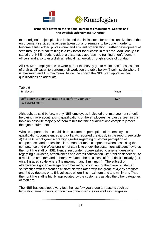



In the original project plan it is indicated that initial steps for professionalization of the enforcement services have been taken but a lot remains to be done in order to become a full-fledged professional and efficient organisation. Further development of staff through internal training is a key factor for success in this area. Additionally it is stated that NBE needs to adopt a systematic approach to training of enforcement officers and also to establish an ethical framework through a code of conduct.

All 150 NBE employees who were part of the survey got to make a self-assessment of their qualification to perform their work see the table below (5 point scale where 5 is maximum and 1 is minimum). As can be shown the NBE staff appraise their qualifications as adequate.

| Table 9                                                                     |      |
|-----------------------------------------------------------------------------|------|
| Employees                                                                   | Mean |
| Sufficiency of your qualification to perform your work<br>(self-assessment) | 4.77 |

Although, as said before, many NBE employees indicated that management should be caring more about raising qualifications of the employees, as can be seen in this table an absolute majority of them thinks that their qualifications completely meet their job requirements.

What is important is to establish the customers perception of the employees qualifications, competences and skills. As reported previously in the report (see table 4) the NBE employees score high grades regarding customer perception of competences and professionalism. Another main component when assessing the competence and professionalism of staff is to check the customers' attitudes towards the front line staff of NBE. Hence, respondents were asked to answer questions regarding quickness, attentiveness and overall satisfaction with front desk service. As a result the creditors and debtors evaluated the quickness of front desk similarly (2,4 on a 3 graded scale where 3 is maximum and 1 minimum). The subject of attentiveness got an average customer rating of 2,6. As for the overall customer satisfaction with the front desk staff this was rated with the grade of 4,2 by creditors and 4,0 by debtors on a 5-level scale where 5 is maximum and 1 is minimum. Thus the front line staff is highly appreciated by the customers as also the other categories of staff are.

The NBE has developed very fast the last few years due to reasons such as legislation amendments, introduction of new services as well as changes in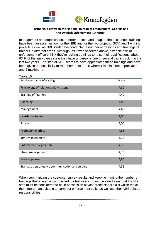



management and organisation. In order to cope and adapt to these changes trainings have been an essential tool for the NBE and for the two projects. SIDA and Twinning projects as well as NBE itself have conducted a number of trainings and trainings of trainers in different areas. Although, as it was observed above, sizeable part of enforcement officers think they're lacking trainings to raise their qualifications, about 63 % of the employees state they have undergone one or several trainings during the last two years. The staff of NBE seems to have appreciated these trainings and have been given the possibility to rate them from 1 to 5 where 1 is minimum appreciation and 5 maximum.

| Table 10                                         |      |
|--------------------------------------------------|------|
| Employees rating of trainings                    | Mean |
| Psychology of relations with citizens            | 4,80 |
| <b>Training of Trainers</b>                      | 4,40 |
| Coaching                                         | 4,80 |
| Management                                       | 4,66 |
| Legislative issues                               | 4,00 |
| Safety                                           | 5,00 |
| <b>Professional ethics</b>                       | 4,85 |
| Time management                                  | 3,75 |
| <b>Enforcement legislation</b>                   | 4,33 |
| Stress management                                | 4,75 |
| Media speaker                                    | 4,80 |
| Standards on effective communication and service | 4,55 |

When summarizing the customer survey results and keeping in mind the number of trainings that's been accomplished the last years it must be safe to say that the NBE staff must be considered to be in possession of vast professional skills which make them more than suitable to carry out enforcement tasks as well as other NBE related responsibilities.